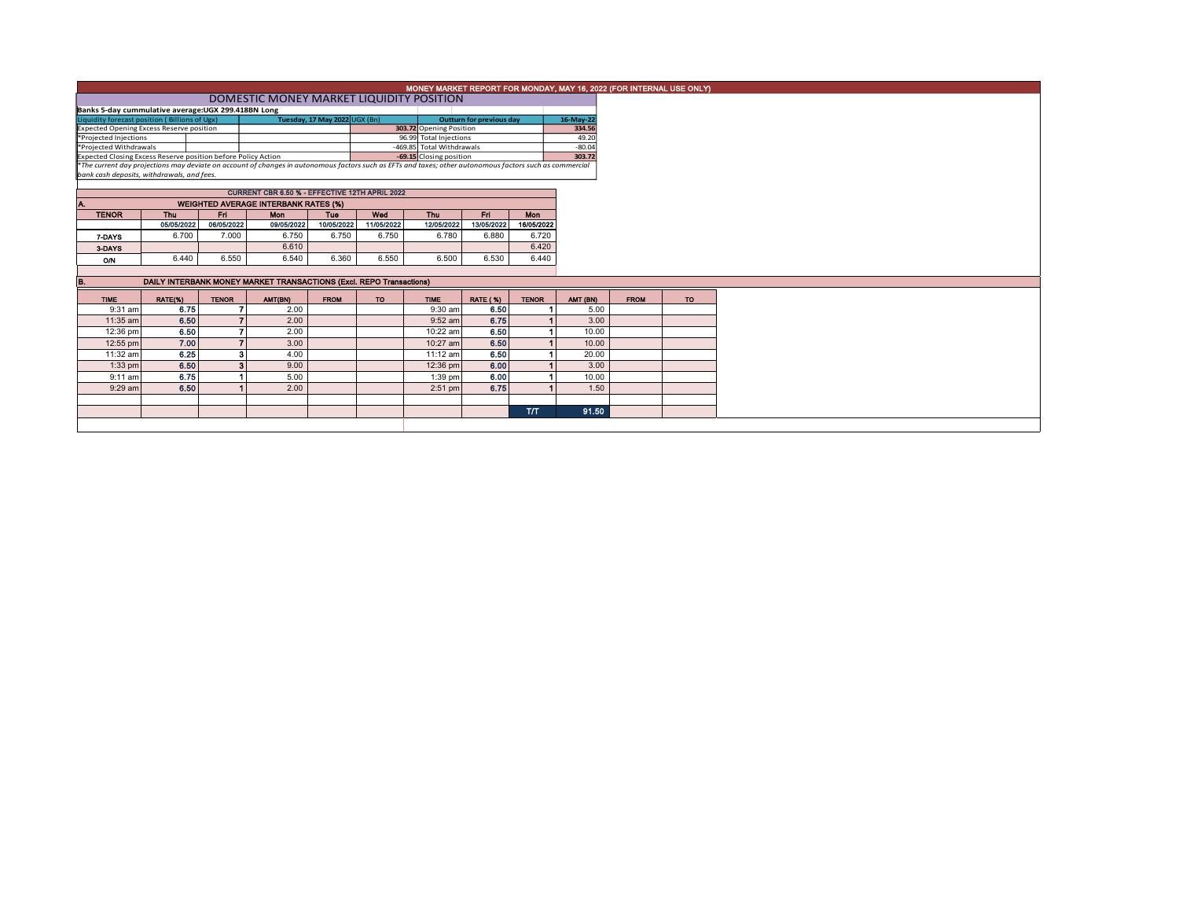| MONEY MARKET REPORT FOR MONDAY, MAY 16, 2022 (FOR INTERNAL USE ONLY)           |                                                                                                                                                                                                        |                                             |                                                                     |             |                         |                                                      |                                 |              |                    |             |     |  |  |  |  |
|--------------------------------------------------------------------------------|--------------------------------------------------------------------------------------------------------------------------------------------------------------------------------------------------------|---------------------------------------------|---------------------------------------------------------------------|-------------|-------------------------|------------------------------------------------------|---------------------------------|--------------|--------------------|-------------|-----|--|--|--|--|
|                                                                                | DOMESTIC MONEY MARKET LIQUIDITY POSITION                                                                                                                                                               |                                             |                                                                     |             |                         |                                                      |                                 |              |                    |             |     |  |  |  |  |
|                                                                                | Banks 5-day cummulative average:UGX 299.418BN Long                                                                                                                                                     |                                             |                                                                     |             |                         |                                                      |                                 |              |                    |             |     |  |  |  |  |
| Tuesday, 17 May 2022 UGX (Bn)<br>Liquidity forecast position (Billions of Ugx) |                                                                                                                                                                                                        |                                             |                                                                     |             |                         |                                                      | <b>Outturn for previous day</b> |              | 16-May-22          |             |     |  |  |  |  |
| <b>Expected Opening Excess Reserve position</b>                                |                                                                                                                                                                                                        |                                             |                                                                     |             | 303.72 Opening Position |                                                      |                                 | 334.56       |                    |             |     |  |  |  |  |
| *Projected Injections<br>*Projected Withdrawals                                |                                                                                                                                                                                                        |                                             |                                                                     |             |                         | 96.99 Total Injections                               |                                 |              | 49.20              |             |     |  |  |  |  |
| Expected Closing Excess Reserve position before Policy Action                  |                                                                                                                                                                                                        |                                             |                                                                     |             |                         | -469.85 Total Withdrawals<br>-69.15 Closing position |                                 |              | $-80.04$<br>303.72 |             |     |  |  |  |  |
|                                                                                |                                                                                                                                                                                                        |                                             |                                                                     |             |                         |                                                      |                                 |              |                    |             |     |  |  |  |  |
|                                                                                | *The current day projections may deviate on account of changes in autonomous factors such as EFTs and taxes; other autonomous factors such as commercial<br>bank cash deposits, withdrawals, and fees. |                                             |                                                                     |             |                         |                                                      |                                 |              |                    |             |     |  |  |  |  |
|                                                                                |                                                                                                                                                                                                        |                                             |                                                                     |             |                         |                                                      |                                 |              |                    |             |     |  |  |  |  |
|                                                                                |                                                                                                                                                                                                        |                                             | CURRENT CBR 6.50 % - EFFECTIVE 12TH APRIL 2022                      |             |                         |                                                      |                                 |              |                    |             |     |  |  |  |  |
|                                                                                |                                                                                                                                                                                                        | <b>WEIGHTED AVERAGE INTERBANK RATES (%)</b> |                                                                     |             |                         |                                                      |                                 |              |                    |             |     |  |  |  |  |
| <b>TENOR</b>                                                                   | <b>Thu</b>                                                                                                                                                                                             | Fri.                                        | <b>Mon</b>                                                          | <b>Tue</b>  | Wed                     | Thu                                                  | Fri.                            | <b>Mon</b>   |                    |             |     |  |  |  |  |
|                                                                                | 05/05/2022                                                                                                                                                                                             | 06/05/2022                                  | 09/05/2022                                                          | 10/05/2022  | 11/05/2022              | 12/05/2022                                           | 13/05/2022                      | 16/05/2022   |                    |             |     |  |  |  |  |
| 7-DAYS                                                                         | 6.700                                                                                                                                                                                                  | 7.000                                       | 6.750                                                               | 6.750       | 6.750                   | 6.780                                                | 6.880                           | 6.720        |                    |             |     |  |  |  |  |
| 3-DAYS                                                                         |                                                                                                                                                                                                        |                                             | 6.610                                                               |             |                         |                                                      |                                 | 6.420        |                    |             |     |  |  |  |  |
| ON                                                                             | 6.440                                                                                                                                                                                                  | 6.550                                       | 6.540                                                               | 6.360       | 6.550                   | 6.500                                                | 6.530                           | 6.440        |                    |             |     |  |  |  |  |
|                                                                                |                                                                                                                                                                                                        |                                             |                                                                     |             |                         |                                                      |                                 |              |                    |             |     |  |  |  |  |
|                                                                                |                                                                                                                                                                                                        |                                             | DAILY INTERBANK MONEY MARKET TRANSACTIONS (Excl. REPO Transactions) |             |                         |                                                      |                                 |              |                    |             |     |  |  |  |  |
| <b>TIME</b>                                                                    | RATE(%)                                                                                                                                                                                                | <b>TENOR</b>                                | AMT(BN)                                                             | <b>FROM</b> | TO:                     | <b>TIME</b>                                          | <b>RATE (%)</b>                 | <b>TENOR</b> | AMT (BN)           | <b>FROM</b> | TO. |  |  |  |  |
| $9:31$ am                                                                      | 6.75                                                                                                                                                                                                   |                                             | 2.00                                                                |             |                         | $9:30$ am                                            | 6.50                            |              | 5.00               |             |     |  |  |  |  |
| 11:35 am                                                                       | 6.50                                                                                                                                                                                                   |                                             | 2.00                                                                |             |                         | $9:52$ am                                            | 6.75                            |              | 3.00               |             |     |  |  |  |  |
| 12:36 pm                                                                       | 6.50                                                                                                                                                                                                   | 7                                           | 2.00                                                                |             |                         | 10:22 am                                             | 6.50                            |              | 10.00              |             |     |  |  |  |  |
| 12:55 pm                                                                       | 7.00                                                                                                                                                                                                   | $\overline{7}$                              | 3.00                                                                |             |                         | 10:27 am                                             | 6.50                            |              | 10.00              |             |     |  |  |  |  |
| 11:32 am                                                                       | 6.25                                                                                                                                                                                                   | 3                                           | 4.00                                                                |             |                         | 11:12 am                                             | 6.50                            |              | 20.00              |             |     |  |  |  |  |
| $1:33$ pm                                                                      | 6.50                                                                                                                                                                                                   | $\overline{\mathbf{3}}$                     | 9.00                                                                |             |                         | 12:36 pm                                             | 6.00                            |              | 3.00               |             |     |  |  |  |  |
| $9:11$ am                                                                      | 6.75                                                                                                                                                                                                   |                                             | 5.00                                                                |             |                         | 1:39 pm                                              | 6.00                            |              | 10.00              |             |     |  |  |  |  |
| $9:29$ am                                                                      | 6.50                                                                                                                                                                                                   |                                             | 2.00                                                                |             |                         | $2:51$ pm                                            | 6.75                            |              | 1.50               |             |     |  |  |  |  |
|                                                                                |                                                                                                                                                                                                        |                                             |                                                                     |             |                         |                                                      |                                 |              |                    |             |     |  |  |  |  |
|                                                                                |                                                                                                                                                                                                        |                                             |                                                                     |             |                         |                                                      |                                 | $\Pi$        | 91.50              |             |     |  |  |  |  |
|                                                                                |                                                                                                                                                                                                        |                                             |                                                                     |             |                         |                                                      |                                 |              |                    |             |     |  |  |  |  |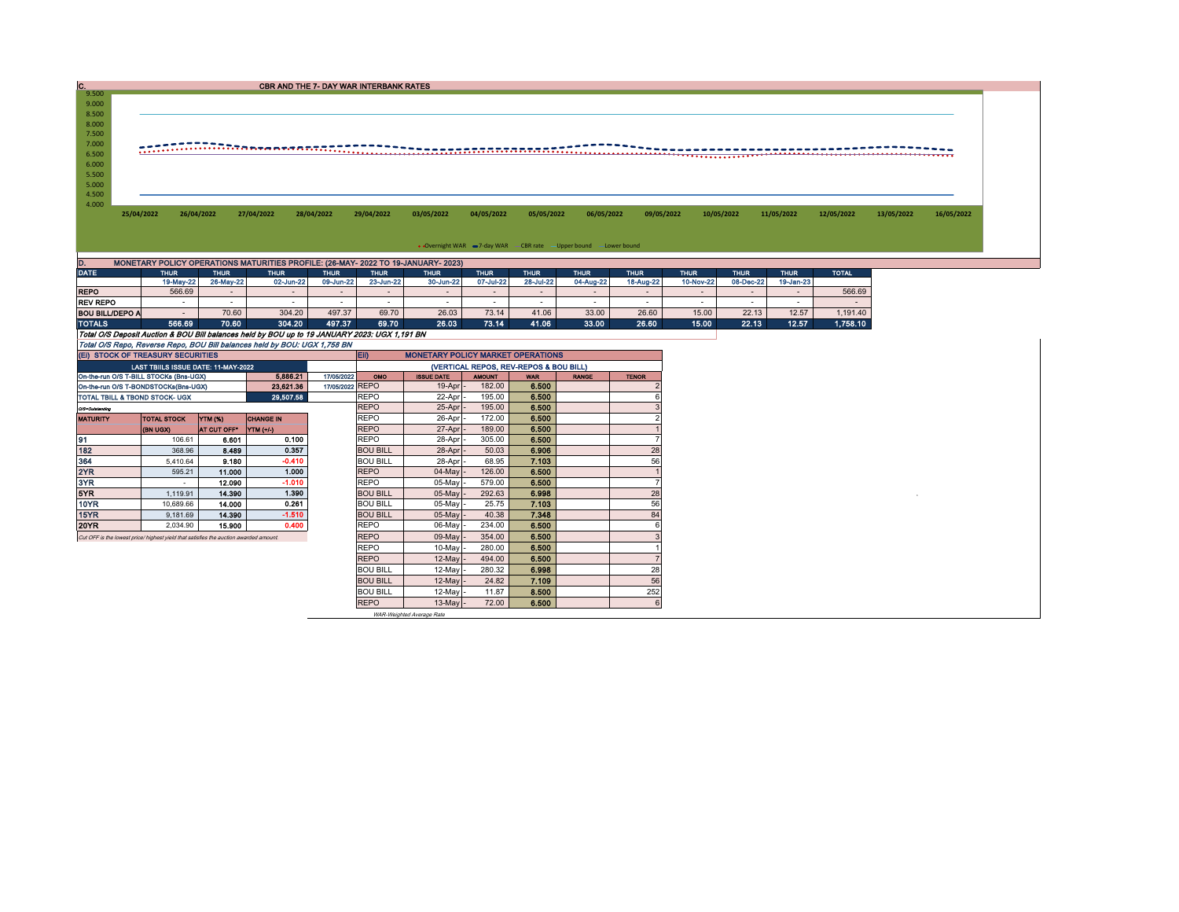| c                                                                                            |                                                                                       |             |                                                                                               | <b>CBR AND THE 7- DAY WAR INTERBANK RATES</b> |                                |                   |                                        |                |                                                                    |               |             |             |             |              |            |            |
|----------------------------------------------------------------------------------------------|---------------------------------------------------------------------------------------|-------------|-----------------------------------------------------------------------------------------------|-----------------------------------------------|--------------------------------|-------------------|----------------------------------------|----------------|--------------------------------------------------------------------|---------------|-------------|-------------|-------------|--------------|------------|------------|
| 9.500                                                                                        |                                                                                       |             |                                                                                               |                                               |                                |                   |                                        |                |                                                                    |               |             |             |             |              |            |            |
| 9.000<br>8.500                                                                               |                                                                                       |             |                                                                                               |                                               |                                |                   |                                        |                |                                                                    |               |             |             |             |              |            |            |
| 8.000                                                                                        |                                                                                       |             |                                                                                               |                                               |                                |                   |                                        |                |                                                                    |               |             |             |             |              |            |            |
| 7.500                                                                                        |                                                                                       |             |                                                                                               |                                               |                                |                   |                                        |                |                                                                    |               |             |             |             |              |            |            |
| 7.000                                                                                        |                                                                                       |             |                                                                                               |                                               |                                |                   |                                        |                |                                                                    |               |             |             |             |              |            |            |
| 6.500                                                                                        |                                                                                       |             | <u> ETERRAANINGSBEARANDERERERERER</u>                                                         |                                               |                                |                   | ,,,,,,,,,,,,,,,,,,,,,,,,,,             |                |                                                                    |               |             |             |             |              |            |            |
| 6.000                                                                                        |                                                                                       |             |                                                                                               |                                               |                                |                   |                                        |                |                                                                    |               |             |             |             |              |            |            |
| 5.500                                                                                        |                                                                                       |             |                                                                                               |                                               |                                |                   |                                        |                |                                                                    |               |             |             |             |              |            |            |
| 5.000                                                                                        |                                                                                       |             |                                                                                               |                                               |                                |                   |                                        |                |                                                                    |               |             |             |             |              |            |            |
| 4.500                                                                                        |                                                                                       |             |                                                                                               |                                               |                                |                   |                                        |                |                                                                    |               |             |             |             |              |            |            |
| 4.000                                                                                        |                                                                                       |             |                                                                                               |                                               |                                |                   | 04/05/2022                             |                | 06/05/2022                                                         |               | 10/05/2022  |             |             |              |            |            |
|                                                                                              | 25/04/2022                                                                            | 26/04/2022  | 27/04/2022                                                                                    | 28/04/2022                                    | 29/04/2022                     | 03/05/2022        |                                        | 05/05/2022     |                                                                    | 09/05/2022    |             |             | 11/05/2022  | 12/05/2022   | 13/05/2022 | 16/05/2022 |
|                                                                                              |                                                                                       |             |                                                                                               |                                               |                                |                   |                                        |                |                                                                    |               |             |             |             |              |            |            |
|                                                                                              |                                                                                       |             |                                                                                               |                                               |                                |                   |                                        |                |                                                                    |               |             |             |             |              |            |            |
|                                                                                              |                                                                                       |             |                                                                                               |                                               |                                |                   |                                        |                | • Overnight WAR = 7-day WAR - CBR rate - Upper bound - Lower bound |               |             |             |             |              |            |            |
| D.                                                                                           |                                                                                       |             | MONETARY POLICY OPERATIONS MATURITIES PROFILE: (26-MAY- 2022 TO 19-JANUARY- 2023)             |                                               |                                |                   |                                        |                |                                                                    |               |             |             |             |              |            |            |
| <b>DATE</b>                                                                                  | <b>THUR</b>                                                                           | <b>THUR</b> | <b>THUR</b>                                                                                   | <b>THUR</b>                                   | <b>THUR</b>                    | <b>THUR</b>       | <b>THUR</b>                            | <b>THUR</b>    | <b>THUR</b>                                                        | <b>THUR</b>   | <b>THUR</b> | <b>THUR</b> | <b>THUR</b> | <b>TOTAL</b> |            |            |
|                                                                                              | 19-May-22                                                                             | 26-May-22   | 02-Jun-22                                                                                     | 09-Jun-22                                     | 23-Jun-22                      | 30-Jun-22         | 07-Jul-22                              | 28-Jul-22      | 04-Aug-22                                                          | 18-Aug-22     | 10-Nov-22   | 08-Dec-22   | 19-Jan-23   |              |            |            |
| <b>REPO</b>                                                                                  | 566.69                                                                                | $\sim$      | $\sim$                                                                                        | $\sim$                                        | $\sim$                         | $\sim$            | $\sim$                                 | $\sim$         | $\sim$                                                             | $\sim$        | $\sim$      | $\sim$      | $\sim$      | 566.69       |            |            |
| <b>REV REPO</b>                                                                              | $\sim$                                                                                | $\sim$      | $\sim$                                                                                        | $\sim$                                        | $\sim$                         | $\sim$            | $\sim$                                 | $\sim$         | $\sim$                                                             | $\sim$        | $\sim$      | $\sim$      | $\sim$      | $\sim$       |            |            |
| <b>BOU BILL/DEPO A</b>                                                                       | $\sim$                                                                                | 70.60       | 304.20                                                                                        | 497.37                                        | 69.70                          | 26.03             | 73.14                                  | 41.06          | 33.00                                                              | 26.60         | 15.00       | 22.13       | 12.57       | 1,191.40     |            |            |
| <b>TOTALS</b>                                                                                | 566.69                                                                                | 70.60       | 304.20                                                                                        | 497.37                                        | 69.70                          | 26.03             | 73.14                                  | 41.06          | 33.00                                                              | 26.60         | 15.00       | 22.13       | 12.57       | 1,758.10     |            |            |
|                                                                                              |                                                                                       |             | Total O/S Deposit Auction & BOU Bill balances held by BOU up to 19 JANUARY 2023: UGX 1,191 BN |                                               |                                |                   |                                        |                |                                                                    |               |             |             |             |              |            |            |
|                                                                                              |                                                                                       |             | Total O/S Repo, Reverse Repo, BOU Bill balances held by BOU: UGX 1,758 BN                     |                                               |                                |                   |                                        |                |                                                                    |               |             |             |             |              |            |            |
|                                                                                              | (EI) STOCK OF TREASURY SECURITIES<br><b>MONETARY POLICY MARKET OPERATIONS</b><br>EII) |             |                                                                                               |                                               |                                |                   |                                        |                |                                                                    |               |             |             |             |              |            |            |
|                                                                                              |                                                                                       |             |                                                                                               |                                               |                                |                   |                                        |                |                                                                    |               |             |             |             |              |            |            |
|                                                                                              | LAST TBIILS ISSUE DATE: 11-MAY-2022                                                   |             |                                                                                               |                                               |                                |                   | (VERTICAL REPOS, REV-REPOS & BOU BILL) |                |                                                                    |               |             |             |             |              |            |            |
|                                                                                              |                                                                                       |             | 5.886.21                                                                                      | 17/05/2022                                    | OMO                            | <b>ISSUE DATE</b> | <b>AMOUNT</b>                          | <b>WAR</b>     | <b>RANGE</b>                                                       | <b>TENOR</b>  |             |             |             |              |            |            |
|                                                                                              |                                                                                       |             | 23,621.36                                                                                     | 17/05/2022 REPO                               |                                | $19-Apr$          | 182.00                                 | 6.500          |                                                                    |               |             |             |             |              |            |            |
| On-the-run O/S T-BILL STOCKs (Bns-UGX)<br>On-the-run O/S T-BONDSTOCKs(Bns-UGX)               |                                                                                       |             | 29.507.58                                                                                     |                                               | <b>REPO</b>                    | 22-Apr            | 195.00                                 | 6.500          |                                                                    | $\epsilon$    |             |             |             |              |            |            |
| O/S=Outstanding                                                                              |                                                                                       |             |                                                                                               |                                               | <b>REPO</b>                    | 25-Apr            | 195.00                                 | 6.500          |                                                                    |               |             |             |             |              |            |            |
| <b>MATURITY</b>                                                                              | <b>TOTAL STOCK</b>                                                                    | YTM (%)     | <b>CHANGE IN</b>                                                                              |                                               | <b>REPO</b>                    | 26-Apr            | 172.00                                 | 6.500          |                                                                    | $\mathcal{P}$ |             |             |             |              |            |            |
|                                                                                              | (BN UGX)                                                                              | AT CUT OFF* | YTM (+/-)                                                                                     |                                               | <b>REPO</b>                    | 27-Apr            | 189.00                                 | 6,500          |                                                                    |               |             |             |             |              |            |            |
|                                                                                              | 106.61                                                                                | 6.601       | 0.100                                                                                         |                                               | <b>REPO</b>                    | 28-Apr            | 305.00                                 | 6.500          |                                                                    |               |             |             |             |              |            |            |
|                                                                                              | 368.96                                                                                | 8.489       | 0.357                                                                                         |                                               | <b>BOU BILL</b>                | 28-Apr            | 50.03                                  | 6.906          |                                                                    | 28            |             |             |             |              |            |            |
|                                                                                              | 5,410.64                                                                              | 9.180       | $-0.410$                                                                                      |                                               | <b>BOU BILL</b>                | 28-Apr            | 68.95                                  | 7.103          |                                                                    | 56            |             |             |             |              |            |            |
|                                                                                              | 595.21                                                                                | 11.000      | 1.000                                                                                         |                                               | <b>REPO</b>                    | 04-May            | 126.00                                 | 6.500          |                                                                    |               |             |             |             |              |            |            |
|                                                                                              | $\sim$                                                                                | 12.090      | $-1.010$                                                                                      |                                               | <b>REPO</b>                    | 05-May            | 579.00                                 | 6,500          |                                                                    |               |             |             |             |              |            |            |
|                                                                                              | 1,119.91                                                                              | 14.390      | 1.390                                                                                         |                                               | <b>BOU BILL</b>                | 05-May            | 292.63                                 | 6.998          |                                                                    | 28            |             |             |             |              |            |            |
| 10YR                                                                                         | 10,689.66                                                                             | 14.000      | 0.261                                                                                         |                                               | <b>BOU BILL</b>                | 05-May            | 25.75                                  | 7.103          |                                                                    | 56            |             |             |             |              |            |            |
| TOTAL TBILL & TBOND STOCK- UGX<br>91<br>182<br>364<br>3YR<br>5YR<br>15YR                     | 9,181.69                                                                              | 14.390      | $-1.510$                                                                                      |                                               | <b>BOU BILL</b>                | 05-May            | 40.38                                  | 7.348          |                                                                    | 84            |             |             |             |              |            |            |
| 20YR                                                                                         | 2.034.90                                                                              | 15.900      | 0.400                                                                                         |                                               | <b>REPO</b>                    | 06-May            | 234.00                                 | 6.500          |                                                                    | 6             |             |             |             |              |            |            |
| 2YR<br>Cut OFF is the lowest price/ highest yield that satisfies the auction awarded amount. |                                                                                       |             |                                                                                               |                                               | <b>REPO</b>                    | 09-May            | 354.00                                 | 6.500          |                                                                    |               |             |             |             |              |            |            |
|                                                                                              |                                                                                       |             |                                                                                               |                                               | <b>REPO</b>                    | 10-May            | 280.00                                 | 6.500          |                                                                    |               |             |             |             |              |            |            |
|                                                                                              |                                                                                       |             |                                                                                               |                                               | <b>REPO</b>                    | 12-May            | 494.00                                 | 6.500          |                                                                    |               |             |             |             |              |            |            |
|                                                                                              |                                                                                       |             |                                                                                               |                                               | <b>BOU BILL</b>                | 12-May            | 280.32                                 | 6.998          |                                                                    | 28            |             |             |             |              |            |            |
|                                                                                              |                                                                                       |             |                                                                                               |                                               | <b>BOU BILL</b>                | 12-May            | 24.82                                  | 7.109          |                                                                    | 56            |             |             |             |              |            |            |
|                                                                                              |                                                                                       |             |                                                                                               |                                               | <b>BOU BILL</b><br><b>REPO</b> | 12-May<br>13-May  | 11.87<br>72.00                         | 8.500<br>6.500 |                                                                    | 252<br>6      |             |             |             |              |            |            |

WAR-Weighted Average Rate